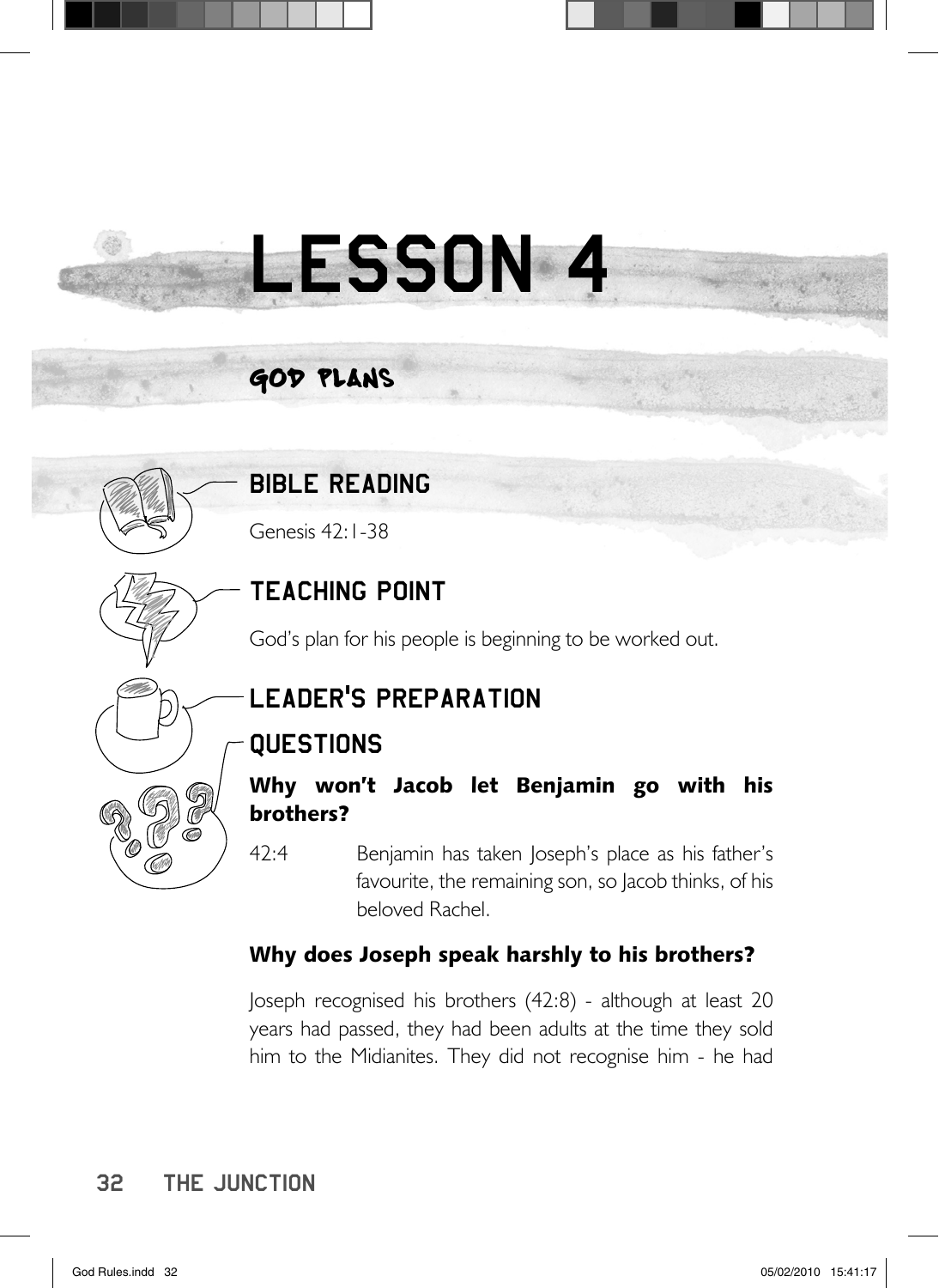# LESSON 4

# god Plans

# BIBLE READING

Genesis 42:1-38

# TEACHING POINT

God's plan for his people is beginning to be worked out.

# LEADER'S PREPARATION

# **QUESTIONS**

Why won't Jacob let Benjamin go with his brothers?

42:4 Benjamin has taken Joseph's place as his father's favourite, the remaining son, so Jacob thinks, of his beloved Rachel.

## Why does Joseph speak harshly to his brothers?

Joseph recognised his brothers (42:8) - although at least 20 years had passed, they had been adults at the time they sold him to the Midianites. They did not recognise him - he had

## 32 The junction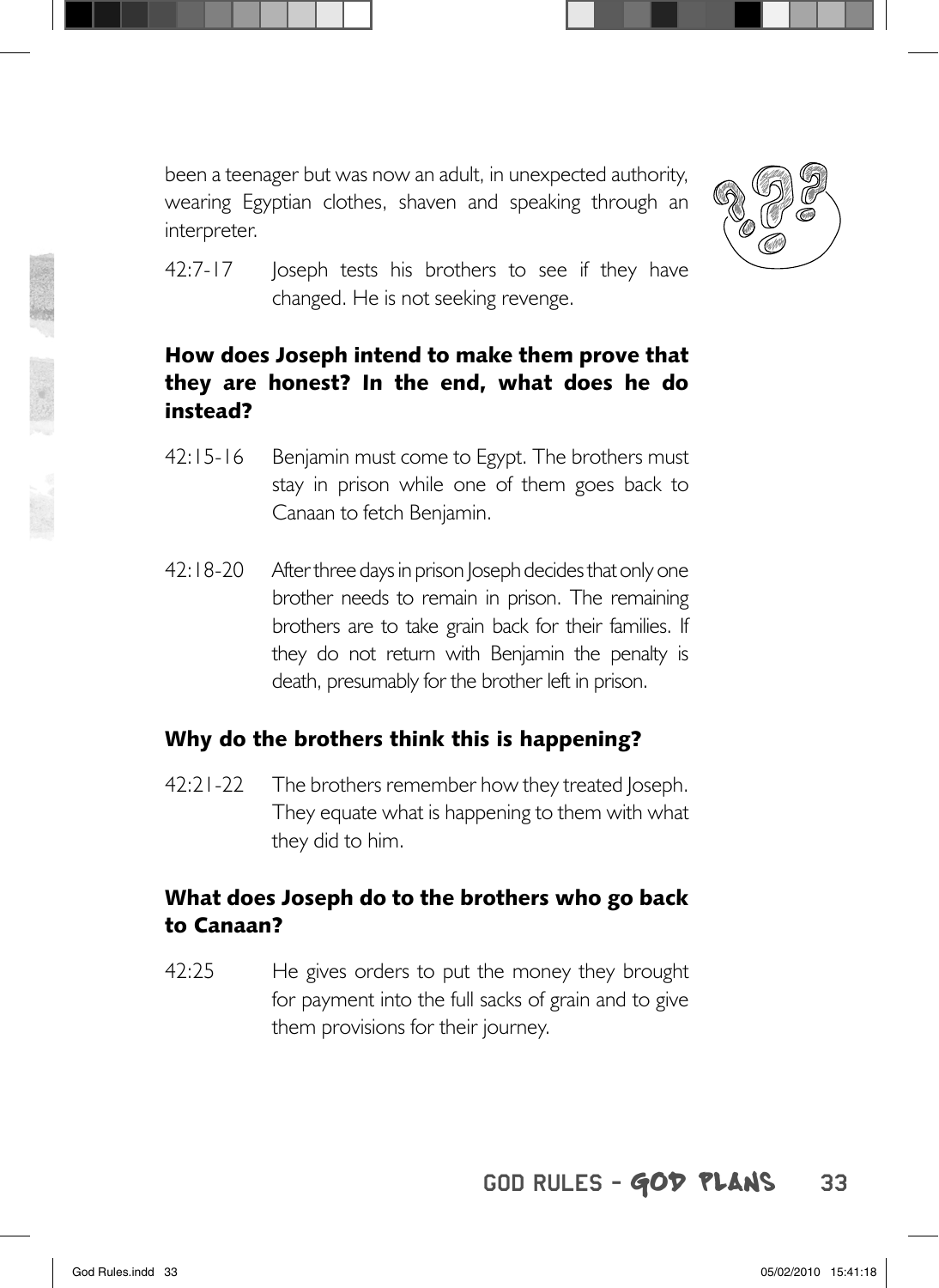



42:7-17 Joseph tests his brothers to see if they have changed. He is not seeking revenge.

#### How does Joseph intend to make them prove that they are honest? In the end, what does he do instead?

- 42:15-16 Benjamin must come to Egypt. The brothers must stay in prison while one of them goes back to Canaan to fetch Benjamin.
- 42:18-20 After three days in prison Joseph decides that only one brother needs to remain in prison. The remaining brothers are to take grain back for their families. If they do not return with Benjamin the penalty is death, presumably for the brother left in prison.

#### Why do the brothers think this is happening?

42:21-22 The brothers remember how they treated Joseph. They equate what is happening to them with what they did to him.

#### What does Joseph do to the brothers who go back to Canaan?

42:25 He gives orders to put the money they brought for payment into the full sacks of grain and to give them provisions for their journey.

## GOD RULES - GOD PLANS 33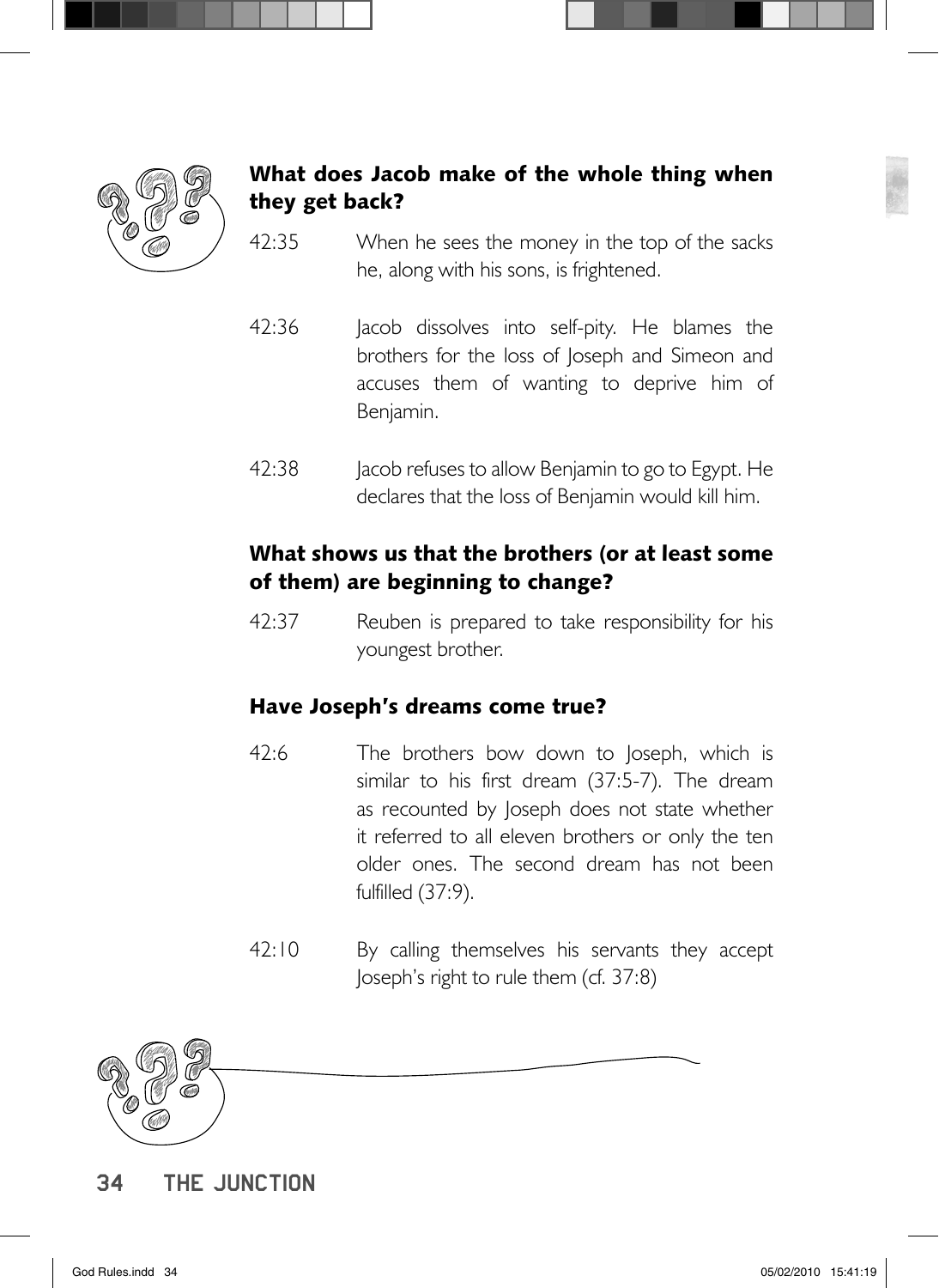

## What does Jacob make of the whole thing when they get back?

- 42:35 When he sees the money in the top of the sacks he, along with his sons, is frightened.
- 42:36 Jacob dissolves into self-pity. He blames the brothers for the loss of Joseph and Simeon and accuses them of wanting to deprive him of Benjamin.
- 42:38 Jacob refuses to allow Benjamin to go to Egypt. He declares that the loss of Benjamin would kill him.

#### What shows us that the brothers (or at least some of them) are beginning to change?

42:37 Reuben is prepared to take responsibility for his youngest brother.

#### Have Joseph's dreams come true?

- 42:6 The brothers bow down to Joseph, which is similar to his first dream (37:5-7). The dream as recounted by Joseph does not state whether it referred to all eleven brothers or only the ten older ones. The second dream has not been fulfilled (37:9).
- 42:10 By calling themselves his servants they accept Joseph's right to rule them (cf. 37:8)



34 The junction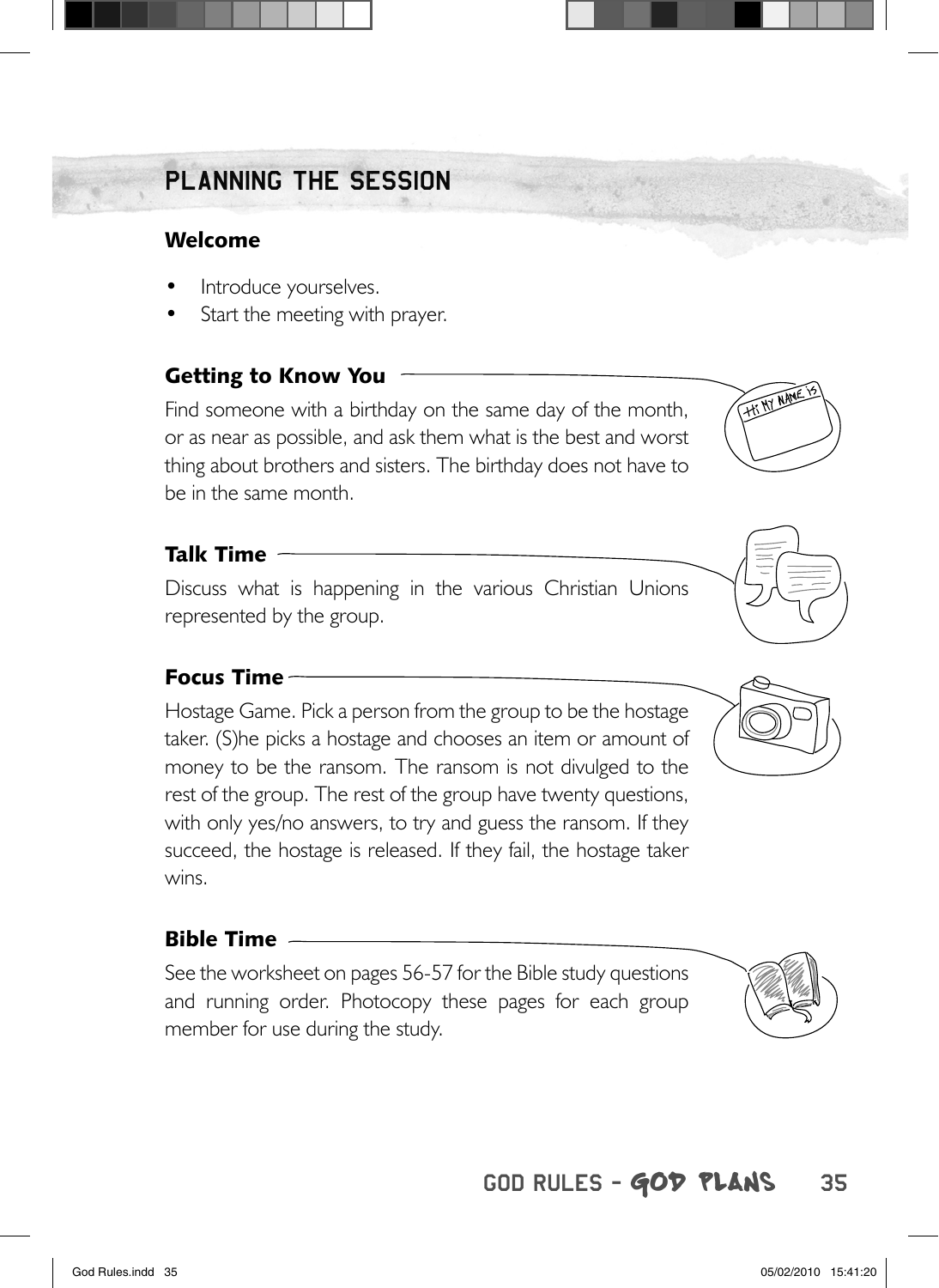# PLANNING THE SESSION PLANNING THE

#### Welcome

- Introduce yourselves.
- Start the meeting with prayer.

## Getting to Know You

Find someone with a birthday on the same day of the month, or as near as possible, and ask them what is the best and worst thing about brothers and sisters. The birthday does not have to be in the same month.

#### Talk Time

Discuss what is happening in the various Christian Unions represented by the group.

#### Focus Time

Hostage Game. Pick a person from the group to be the hostage taker. (S)he picks a hostage and chooses an item or amount of money to be the ransom. The ransom is not divulged to the rest of the group. The rest of the group have twenty questions, with only yes/no answers, to try and guess the ransom. If they succeed, the hostage is released. If they fail, the hostage taker wins.

#### Bible Time

See the worksheet on pages 56-57 for the Bible study questions and running order. Photocopy these pages for each group member for use during the study.

# GOD RULES - GOD PLANS 35



**HI MY NAME**